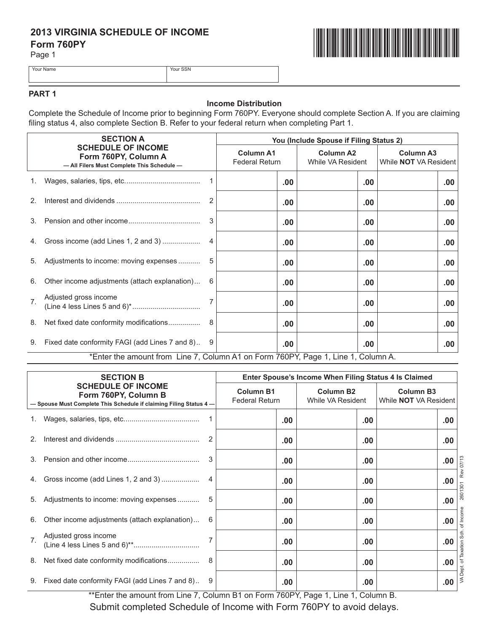# **2013 VIRGINIA SCHEDULE OF INCOME Form 760PY**

Page 1



Your Name Your SSN

# **PART 1**

#### **Income Distribution**

Complete the Schedule of Income prior to beginning Form 760PY. Everyone should complete Section A. If you are claiming filing status 4, also complete Section B. Refer to your federal return when completing Part 1.

|                                                                                                 | <b>SECTION A</b>                                                                  |    | You (Include Spouse if Filing Status 2) |                                       |                                                  |  |  |  |
|-------------------------------------------------------------------------------------------------|-----------------------------------------------------------------------------------|----|-----------------------------------------|---------------------------------------|--------------------------------------------------|--|--|--|
| <b>SCHEDULE OF INCOME</b><br>Form 760PY, Column A<br>- All Filers Must Complete This Schedule - |                                                                                   |    | <b>Column A1</b><br>Federal Return      | <b>Column A2</b><br>While VA Resident | <b>Column A3</b><br>While <b>NOT</b> VA Resident |  |  |  |
|                                                                                                 |                                                                                   |    | .00                                     | .00                                   | .00                                              |  |  |  |
| 2 <sub>1</sub>                                                                                  |                                                                                   |    | .00                                     | .00                                   | .00                                              |  |  |  |
|                                                                                                 |                                                                                   | 3  | .00                                     | .00                                   | .00                                              |  |  |  |
|                                                                                                 | 4. Gross income (add Lines 1, 2 and 3)                                            |    | .00                                     | .00                                   | .00                                              |  |  |  |
|                                                                                                 | 5. Adjustments to income: moving expenses                                         |    | .00                                     | .00                                   | .00                                              |  |  |  |
| 6.                                                                                              | Other income adjustments (attach explanation)                                     | 6  | .00                                     | .00                                   | .00                                              |  |  |  |
| 7 <sup>1</sup>                                                                                  | Adjusted gross income                                                             |    | .00                                     | .00                                   | .00                                              |  |  |  |
| 8.                                                                                              |                                                                                   | -8 | .00                                     | .00                                   | $.00 \,$                                         |  |  |  |
|                                                                                                 | 9. Fixed date conformity FAGI (add Lines 7 and 8) 9                               |    | .00                                     | .00                                   | .00                                              |  |  |  |
|                                                                                                 | *Enter the amount from Line 7, Column A1 on Form 760PY, Page 1, Line 1, Column A. |    |                                         |                                       |                                                  |  |  |  |

| <b>SECTION B</b><br><b>SCHEDULE OF INCOME</b><br>Form 760PY, Column B<br>- Spouse Must Complete This Schedule if claiming Filing Status 4- |                                                        | Enter Spouse's Income When Filing Status 4 Is Claimed |                                       |                                                  |                 |  |
|--------------------------------------------------------------------------------------------------------------------------------------------|--------------------------------------------------------|-------------------------------------------------------|---------------------------------------|--------------------------------------------------|-----------------|--|
|                                                                                                                                            |                                                        | <b>Column B1</b><br><b>Federal Return</b>             | <b>Column B2</b><br>While VA Resident | <b>Column B3</b><br>While <b>NOT</b> VA Resident |                 |  |
|                                                                                                                                            |                                                        | .00                                                   | .00                                   |                                                  | .00             |  |
| 2 <sub>1</sub>                                                                                                                             | $\overline{2}$                                         | .00.                                                  | .00                                   |                                                  | .00             |  |
| 3.                                                                                                                                         | 3                                                      | .00                                                   | .00                                   |                                                  | 07/13<br>.00.   |  |
|                                                                                                                                            | Gross income (add Lines 1, 2 and 3)<br>4               | .00.                                                  | .00                                   |                                                  | Ř<br>.00<br>301 |  |
| 5.                                                                                                                                         | Adjustments to income: moving expenses<br>5            | .00                                                   | .00                                   |                                                  | 2601<br>.00     |  |
| 6.                                                                                                                                         | Other income adjustments (attach explanation)<br>6     | .00                                                   | .00                                   |                                                  | .00             |  |
| 7 <sub>1</sub>                                                                                                                             | Adjusted gross income<br>7                             | .00.                                                  | .00                                   |                                                  | 5<br>.00        |  |
| 8.                                                                                                                                         | Net fixed date conformity modifications<br>8           | .00                                                   | .00                                   |                                                  | pt. of<br>.00   |  |
|                                                                                                                                            | 9. Fixed date conformity FAGI (add Lines 7 and 8)<br>9 | .00                                                   | .00                                   |                                                  | ≶<br>.00        |  |

\*\*Enter the amount from Line 7, Column B1 on Form 760PY, Page 1, Line 1, Column B. Submit completed Schedule of Income with Form 760PY to avoid delays.